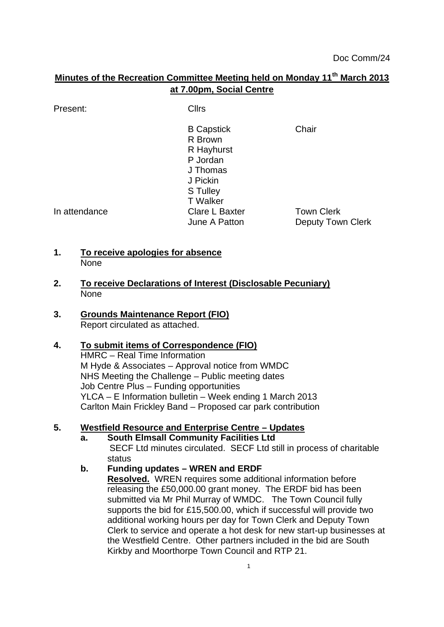# **Minutes of the Recreation Committee Meeting held on Monday 11th March 2013 at 7.00pm, Social Centre**

Present: Clirs

B Capstick Chair R Brown R Hayhurst P Jordan J Thomas J Pickin S Tulley T Walker In attendance Clare L Baxter Town Clerk<br>June A Patton Deputy Tow Deputy Town Clerk

# **1. To receive apologies for absence** None

- **2. To receive Declarations of Interest (Disclosable Pecuniary)** None
- **3. Grounds Maintenance Report (FIO)** Report circulated as attached.

### **4. To submit items of Correspondence (FIO)**

HMRC – Real Time Information M Hyde & Associates – Approval notice from WMDC NHS Meeting the Challenge – Public meeting dates Job Centre Plus – Funding opportunities YLCA – E Information bulletin – Week ending 1 March 2013 Carlton Main Frickley Band – Proposed car park contribution

# **5. Westfield Resource and Enterprise Centre – Updates**

**a. South Elmsall Community Facilities Ltd** SECF Ltd minutes circulated. SECF Ltd still in process of charitable status

### **b. Funding updates – WREN and ERDF**

**Resolved.** WREN requires some additional information before releasing the £50,000.00 grant money. The ERDF bid has been submitted via Mr Phil Murray of WMDC. The Town Council fully supports the bid for £15,500.00, which if successful will provide two additional working hours per day for Town Clerk and Deputy Town Clerk to service and operate a hot desk for new start-up businesses at the Westfield Centre. Other partners included in the bid are South Kirkby and Moorthorpe Town Council and RTP 21.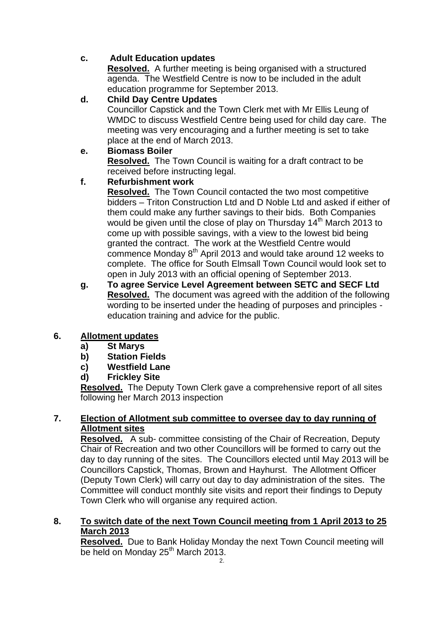# **c. Adult Education updates**

**Resolved.** A further meeting is being organised with a structured agenda. The Westfield Centre is now to be included in the adult education programme for September 2013.

# **d. Child Day Centre Updates**

Councillor Capstick and the Town Clerk met with Mr Ellis Leung of WMDC to discuss Westfield Centre being used for child day care. The meeting was very encouraging and a further meeting is set to take place at the end of March 2013.

# **e. Biomass Boiler**

**Resolved.** The Town Council is waiting for a draft contract to be received before instructing legal.

# **f. Refurbishment work**

**Resolved.** The Town Council contacted the two most competitive bidders – Triton Construction Ltd and D Noble Ltd and asked if either of them could make any further savings to their bids. Both Companies would be given until the close of play on Thursday 14<sup>th</sup> March 2013 to come up with possible savings, with a view to the lowest bid being granted the contract. The work at the Westfield Centre would commence Monday 8<sup>th</sup> April 2013 and would take around 12 weeks to complete. The office for South Elmsall Town Council would look set to open in July 2013 with an official opening of September 2013.

**g. To agree Service Level Agreement between SETC and SECF Ltd Resolved.** The document was agreed with the addition of the following wording to be inserted under the heading of purposes and principles education training and advice for the public.

# **6. Allotment updates**

- **a) St Marys**
- **b) Station Fields**
- **c) Westfield Lane**
- **d) Frickley Site**

**Resolved.** The Deputy Town Clerk gave a comprehensive report of all sites following her March 2013 inspection

# **7. Election of Allotment sub committee to oversee day to day running of Allotment sites**

**Resolved.** A sub- committee consisting of the Chair of Recreation, Deputy Chair of Recreation and two other Councillors will be formed to carry out the day to day running of the sites. The Councillors elected until May 2013 will be Councillors Capstick, Thomas, Brown and Hayhurst. The Allotment Officer (Deputy Town Clerk) will carry out day to day administration of the sites. The Committee will conduct monthly site visits and report their findings to Deputy Town Clerk who will organise any required action.

# **8. To switch date of the next Town Council meeting from 1 April 2013 to 25 March 2013**

**Resolved.** Due to Bank Holiday Monday the next Town Council meeting will be held on Monday 25<sup>th</sup> March 2013.